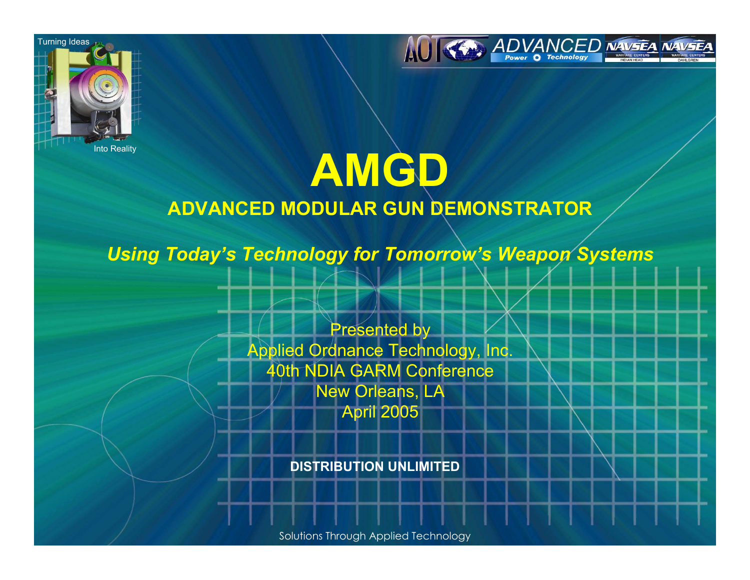



### Into Reality **AMGD ADVANCED MODULAR GUN DEMONSTRATOR**

*Using Today's Technology for Tomorrow's Weapon Systems* 

Presented by Applied Ordnance Technology, Inc. 40th NDIA GARM Conference New Orleans, LA April 2005

**DISTRIBUTION UNLIMITED**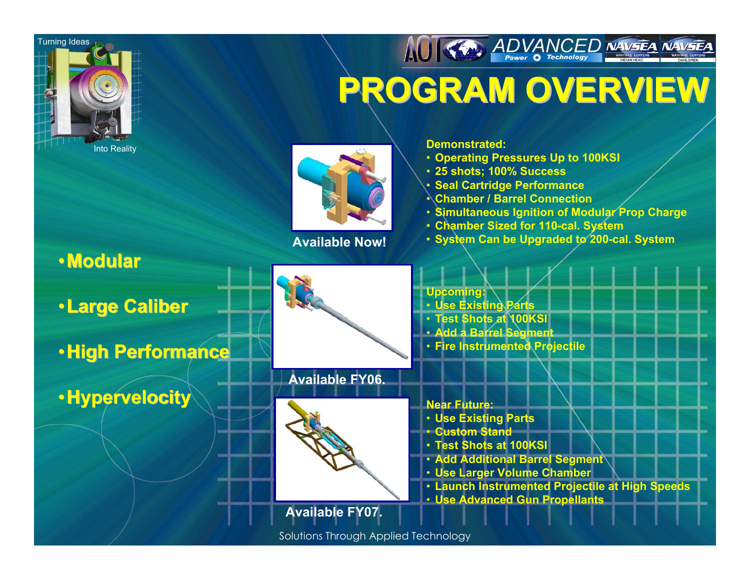

•**Modular Modular**

### AUTH ADVANCED NAVSEA NAVSEA **PROGRAM OVERVIEW PROGRAM OVERVIEW**



**Available Now!**

#### **Demonstrated:**

- **Operating Pressures Up to 100KSI**
- **25 shots; 100% Success**
- **Seal Cartridge Performance**
- **Chamber / Barrel Connection**
- **Simultaneous Ignition of Modular Prop Charge**
- **Chamber Sized for 110-cal. System**
- **System Can be Upgraded to 200-cal. System**

•**Large Caliber Large Caliber**

•**High Performance High Performance**

•**Hypervelocity Hypervelocity**



#### **Available FY06.**



**Upcoming:** • **Use Existing Parts** •**Test Shots at 100KSI**

- **Add a Barrel Segment**
- **Fire Instrumented Projectile**

**Near Future:**

- **Use Existing Parts**
- **Custom Stand**
- **Test Shots at 100KSI**
- **Add Additional Barrel Segment**
- **Use Larger Volume Chamber**
- **Launch Instrumented Projectile at High Speeds**
- **Use Advanced Gun Propellants**

**Available FY07.**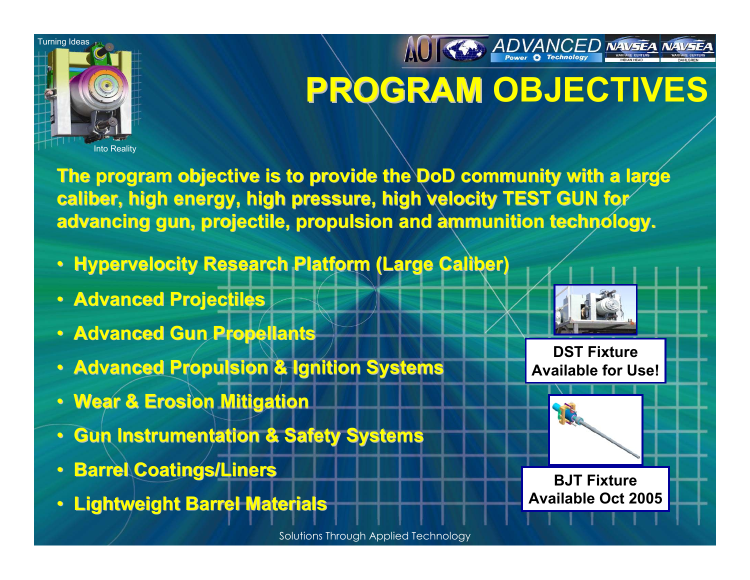

# **PROGRAM OBJECTIVES PROGRAM**

**AO KAY ADVANCED NAVSEA NAVSEA** 

**The program objective is to provide the DoD community with a large caliber, high energy, high pressure, high velocity TEST GUN for caliber, high energy, high pressure, high velocity TEST GUN for advancing gun, projectile, propulsion and ammunition technology.** 

- **Hypervelocity Research Platform (Large Caliber)**
- **Advanced Projectiles Advanced Projectiles**
- **Advanced Gun Propellants**
- **Advanced Propulsion & Ignition Systems Advanced Propulsion & Ignition Systems**
- **Wear & Erosion Mitigation Wear & Erosion Mitigation**
- **Gun Instrumentation & Safety Systems Gun Instrumentation & Safety Systems**
- $\bullet$ **Barrel Coatings/Liners Barrel Coatings/Liners**
- **Lightweight Barrel Materials Lightweight Barrel Materials**



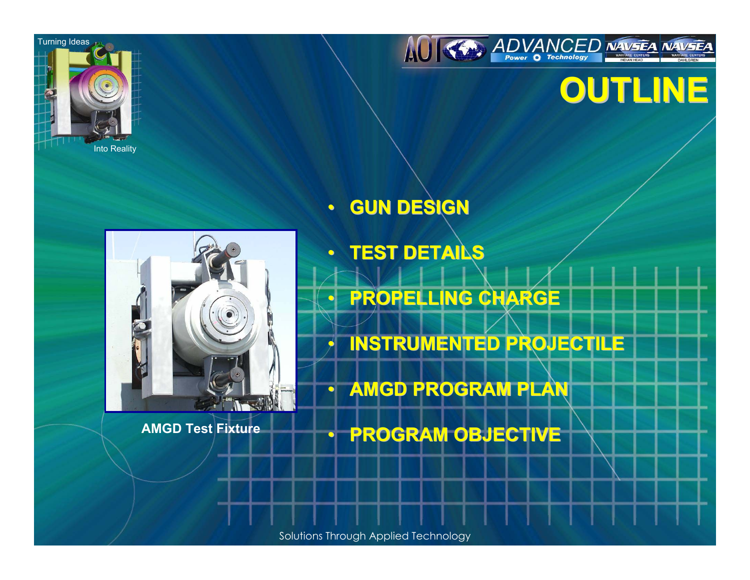



### **OUTLINE OUTLINE**

#### $\bullet$ **GUN DESIGN GUN DESIGN**



 $\mathbf \Omega$  **TEST DETAILS TEST DETAILS**  $\mathbf \Omega$  **PROPELLING CHARGE PROPELLING CHARGE**  $\bigcap$  **INSTRUMENTED PROJECTILE INSTRUMENTED PROJECTILE**  $\bullet$ **• AMGD PROGRAM PLAN** 

**PROGRAM OBJECTIVE PROGRAM OBJECTIVE AMGD Test Fixture**

Solutions Through Applied Technology

 $\Box$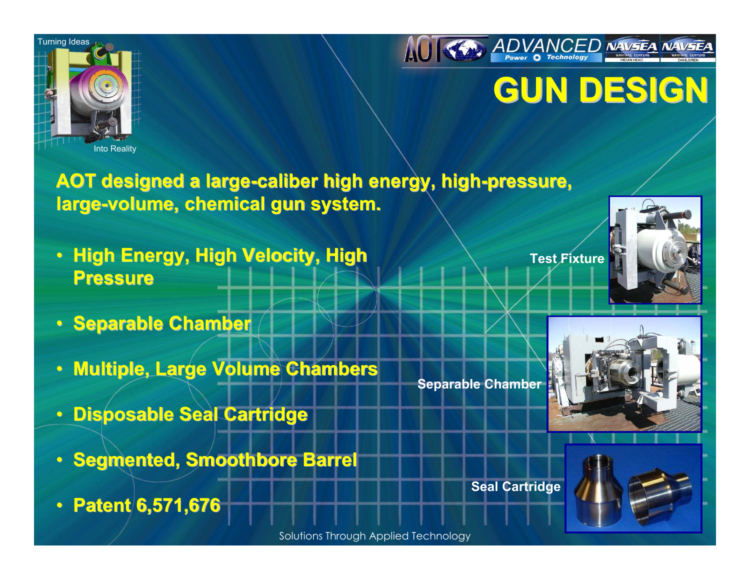

Into Reality



### **GUN DESIGN GUN DESIGN**

### **AOT designed a large AOT designed a large-caliber high energy, high caliber high energy, high-pressure, pressure, large-volume, chemical gun system.**

- •**High Energy, High Velocity, High Pressure Pressure**
- **Separable Chamber**
- •**Multiple, Large Volume Chambers Multiple, Large Volume Chambers**
- •**Disposable Seal Cartridge Disposable Seal Cartridge**
- **Segmented, Smoothbore Barrel**
- •**Patent 6,571,676 Patent 6,571,676**

**Test Fixture**



**Separable Chamber**



**Seal Cartridge**

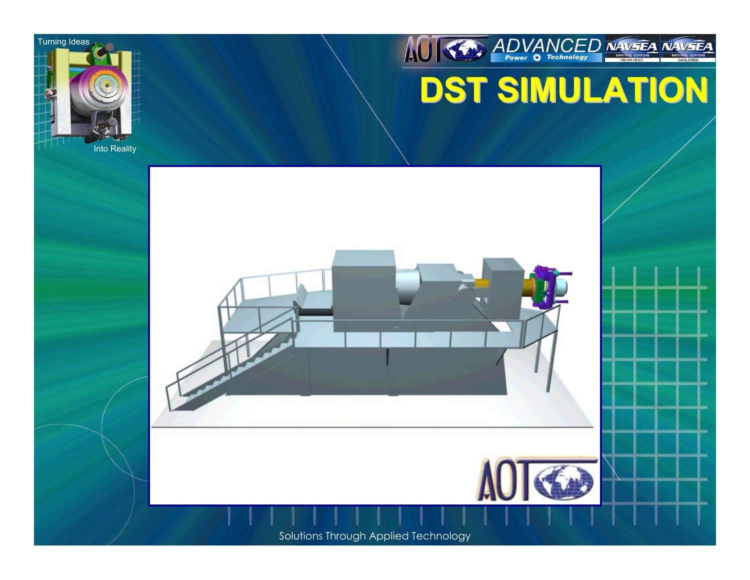





### **DST SIMULATION DST SIMULATION**

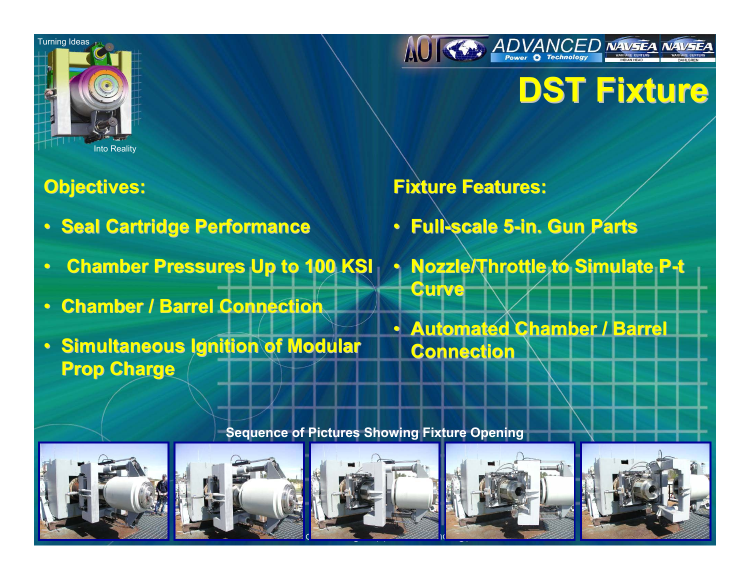



### **DST Fixture DST Fixture**

### **Objectives: Objectives:**

- **Seal Cartridge Performance**
- $\mathbin{\widehat{\hspace{1ex}}}$ **Chamber Pressures Up to 100 KSI Chamber Pressures Up to 100 KSI**
- $\mathbin{\widehat{\hspace{1ex}}}$ **• Chamber / Barrel Connection**
- Simultaneous Ignition of Modular **Prop Charge Prop Charge**

### **Fixture Features: Fixture Features:**

- $\mathbf \Omega$ **Full-scale 5 scale 5-in. Gun Parts in. Gun Parts**
- $\mathbf \Omega$ **Nozzle/Throttle to Simulate P-t Curve**
- $\Box$ **Automated Chamber / Barrel Automated Chamber / Barrel Connection Connection**

#### **Sequence of Pictures Showing Fixture Opening**









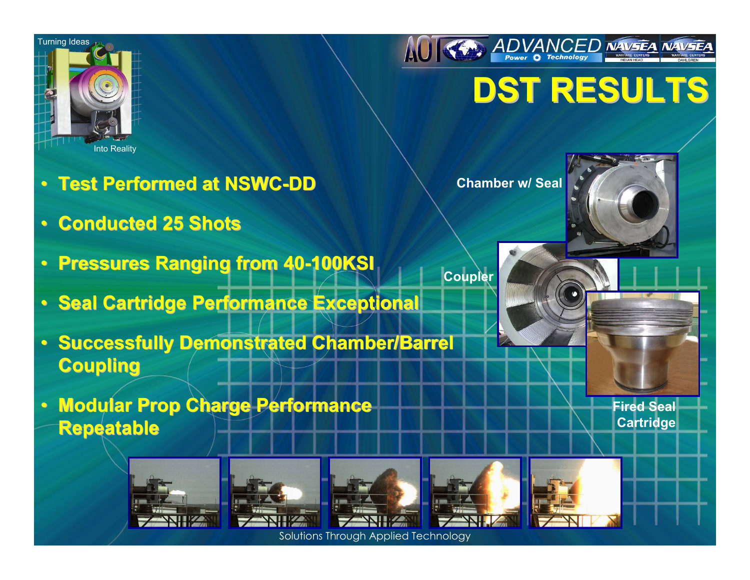



## **DST RESULTS DST RESULTS**

- **Test Performed at NSWC Test Performed at NSWC-DD**
- **Conducted 25 Shots Conducted 25 Shots**
- **Pressures Ranging from 40 Pressures Ranging from 40-100KSI**
- **Seal Cartridge Performance Exceptional**
- **Successfully Demonstrated Chamber/Barrel Coupling Coupling**
- **Modular Prop Charge Performance Repeatable Repeatable**

















**Fired Seal Cartridge**



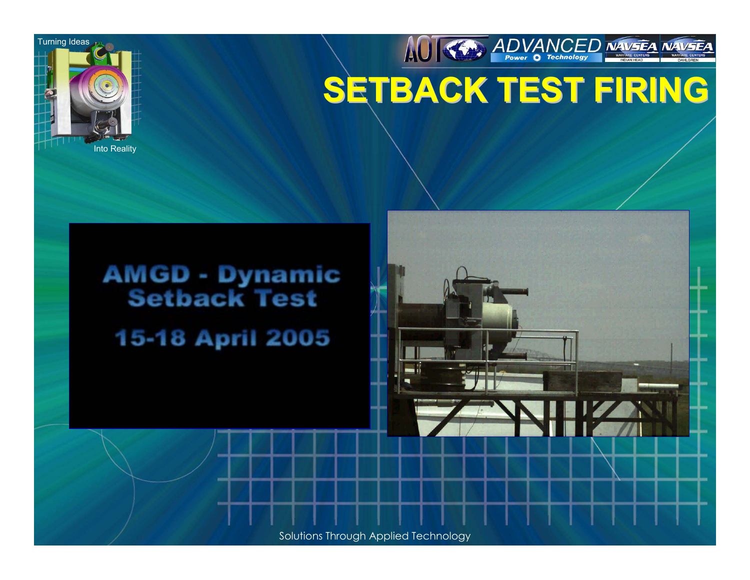

AUTH ADVANCED NAVSEA NAVSEA **SETBACK TEST FIRING SETBACK TEST FIRING**

## **AMGD - Dynamic<br>Setback Test** 15-18 April 2005

Solutions Through Applied Technology

|<br>| آ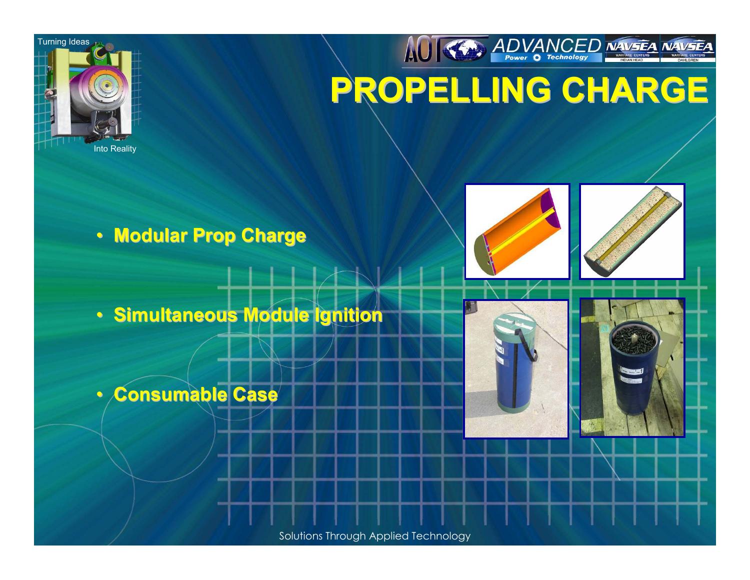



• **Modular Prop Charge Modular Prop Charge**

• **Simultaneous Module Ignition Simultaneous Module Ignition**

 $\mathbf C$ **Consumable Case Consumable Case**

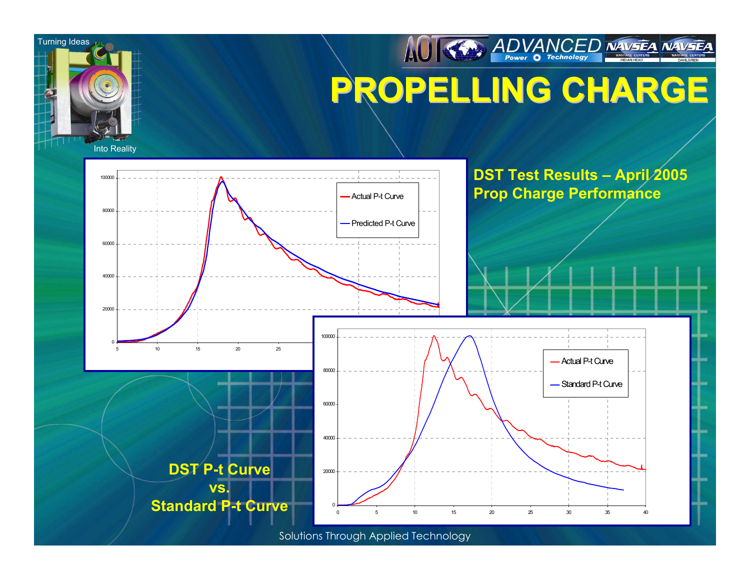

### AUTHER ADVANCED NAVSEA NAVSEA **PROPELLING CHARGE PROPELLING CHARGE**

Into Reality

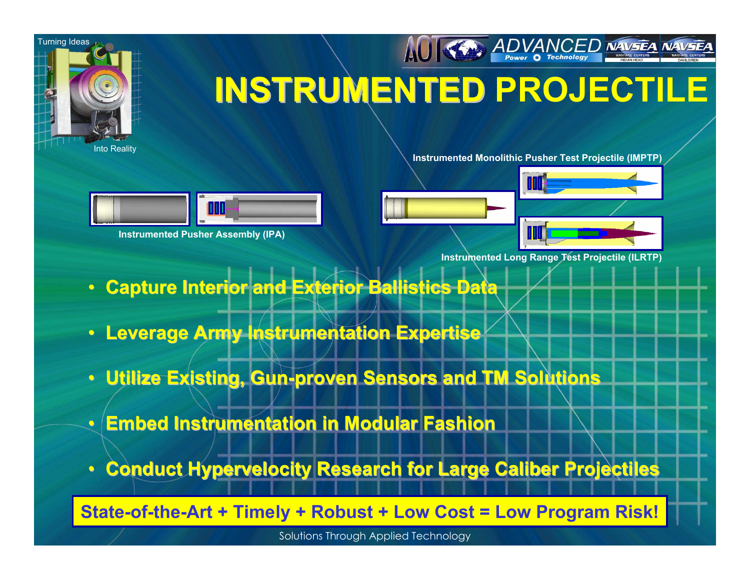

## **INSTRUMENTED PROJECTILE INSTRUMENTED**

**Turning Ideas** 

Into Reality

**Instrumented Monolithic Pusher Test Projectile (IMPTP)**



**Instrumented Pusher Assembly (IPA)**





**Instrumented Long Range Test Projectile (ILRTP)**

- $\mathbin{\widehat{\hspace{1ex}}}$ **Capture Interior and Exterior Ballistics Data**
- $\mathbin{\widehat{\hspace{1ex}}}$ **Leverage Army Instrumentation Expertise**
- **Utilize Existing, Gun Utilize Existing, Gun-proven Sensors and TM Solutions proven Sensors and TM Solutions**
- $\mathbin{\widehat{\hspace{1ex}}}$ **Embed Instrumentation in Modular Fashion Embed Instrumentation in Modular Fashion**
- •**Conduct Hypervelocity Research for Large Caliber Projectiles**

**State-of-the-Art + Timely + Robust + Low Cost = Low Program Risk!**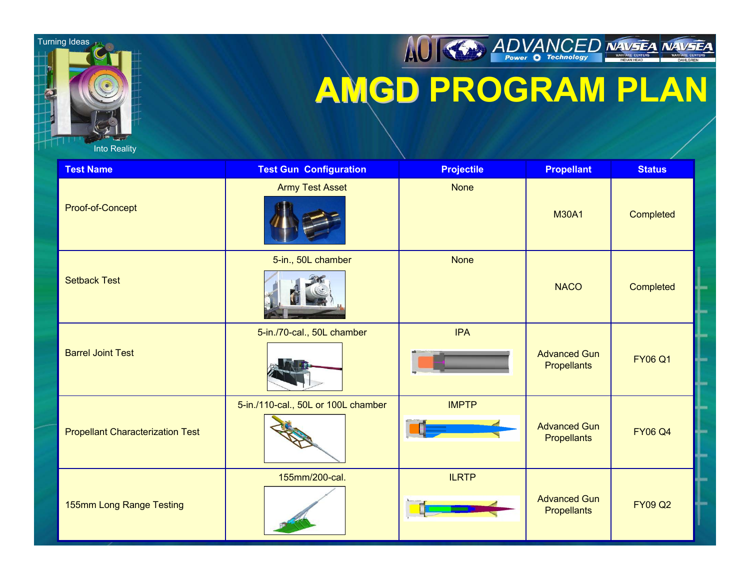

Into Reality

### AUTHOR ADVANCED NAVSEA NAVSEA **AMGD PROGRAM PLAN AMGD**

| <b>Test Name</b>                        | <b>Test Gun Configuration</b>       | <b>Projectile</b> | <b>Propellant</b>                         | <b>Status</b>  |
|-----------------------------------------|-------------------------------------|-------------------|-------------------------------------------|----------------|
| Proof-of-Concept                        | <b>Army Test Asset</b>              | <b>None</b>       | <b>M30A1</b>                              | Completed      |
| <b>Setback Test</b>                     | 5-in., 50L chamber                  | <b>None</b>       | <b>NACO</b>                               | Completed      |
| <b>Barrel Joint Test</b>                | 5-in./70-cal., 50L chamber          | <b>IPA</b>        | <b>Advanced Gun</b><br><b>Propellants</b> | <b>FY06 Q1</b> |
| <b>Propellant Characterization Test</b> | 5-in./110-cal., 50L or 100L chamber | <b>IMPTP</b>      | <b>Advanced Gun</b><br><b>Propellants</b> | <b>FY06 Q4</b> |
| 155mm Long Range Testing                | 155mm/200-cal.                      | <b>ILRTP</b>      | <b>Advanced Gun</b><br><b>Propellants</b> | <b>FY09 Q2</b> |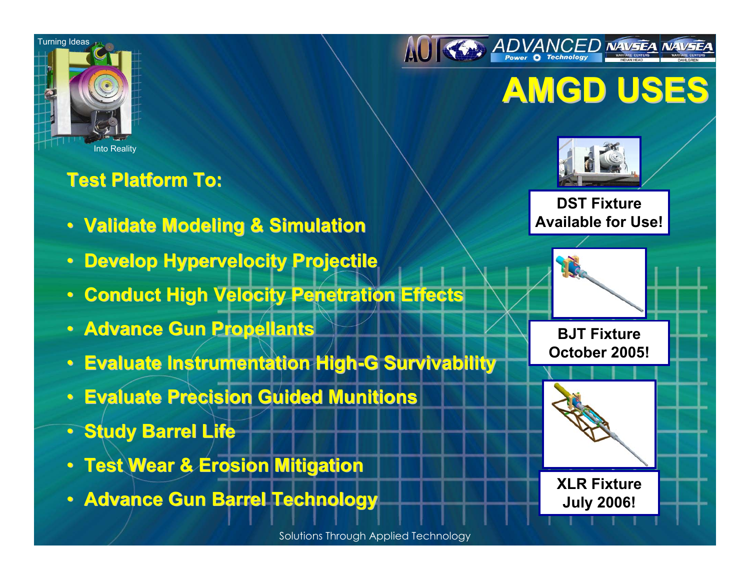



### **AMGD USES AMGD USES**



**DST Fixture Available for Use!**

**BJT Fixture October 2005!**



**XLR Fixture July 2006!**

### **Test Platform To: Test Platform To:**

- **Validate Modeling & Simulation**
- $\bullet$ **Develop Hypervelocity Projectile Develop Hypervelocity Projectile**
- $\mathbin{\widehat{\hspace{1ex}}}$ **Conduct High Velocity Penetration Effects Conduct High Velocity Penetration Effects**
- **Advance Gun Propellants**
- $\bullet$ **Evaluate Instrumentation High-G Survivability**
- **Evaluate Precision Guided Munitions**
- **Study Barrel Life Study Barrel Life**
- **Test Wear & Erosion Mitigation Test Wear & Erosion Mitigation**
- **Advance Gun Barrel Technology**